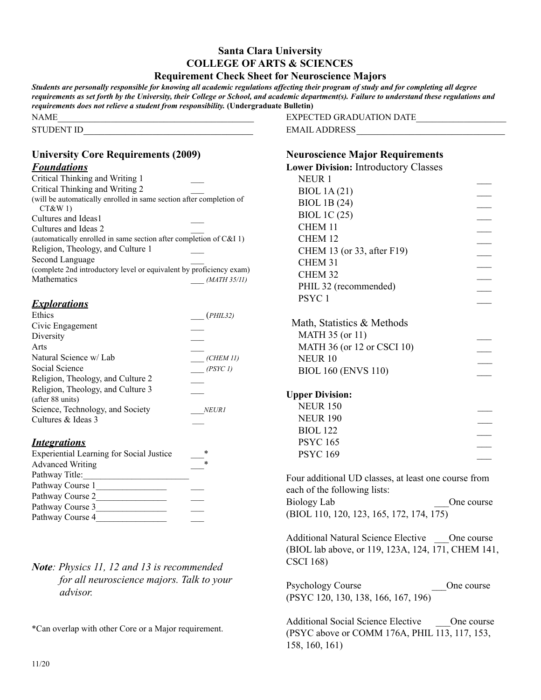#### **Santa Clara University COLLEGE OF ARTS & SCIENCES Requirement Check Sheet for Neuroscience Majors**

*Students are personally responsible for knowing all academic regulations affecting their program of study and for completing all degree requirements as set forth by the University, their College or School, and academic department(s). Failure to understand these regulations and requirements does not relieve a student from responsibility.* **(Undergraduate Bulletin)**  $NAME$ EXPECTED GRADUATION DATE\_\_\_\_\_\_\_\_\_\_\_\_\_\_\_\_\_

STUDENT ID

# **University Core Requirements (2009)**

#### *Foundations*

| Critical Thinking and Writing 1                                      |
|----------------------------------------------------------------------|
| Critical Thinking and Writing 2                                      |
| (will be automatically enrolled in same section after completion of  |
| CT&W1                                                                |
| Cultures and Ideas1                                                  |
| Cultures and Ideas 2                                                 |
| (automatically enrolled in same section after completion of $C&I$ 1) |
| Religion, Theology, and Culture 1                                    |
| Second Language                                                      |
| (complete 2nd introductory level or equivalent by proficiency exam)  |
| Mathematics<br>(MATH 35/11)                                          |

### *Explorations*

| Ethics                            | (PHIL32)     |
|-----------------------------------|--------------|
| Civic Engagement                  |              |
| Diversity                         |              |
| Arts                              |              |
| Natural Science w/ Lab            | (CHEM II)    |
| Social Science                    | (PSYC1)      |
| Religion, Theology, and Culture 2 |              |
| Religion, Theology, and Culture 3 |              |
| (after 88 units)                  |              |
| Science, Technology, and Society  | <b>NEURI</b> |
| Cultures & Ideas 3                |              |

#### *Integrations*

| <b>Experiential Learning for Social Justice</b> | * |
|-------------------------------------------------|---|
| <b>Advanced Writing</b>                         | * |
| Pathway Title:                                  |   |
| Pathway Course 1                                |   |
| Pathway Course 2                                |   |
| Pathway Course 3                                |   |
| Pathway Course 4                                |   |

## *Note: Physics 11, 12 and 13 is recommended for all neuroscience majors. Talk to your advisor.*

\*Can overlap with other Core or a Major requirement.

| EXPECTED GRADUATION DATE |  |
|--------------------------|--|
| EMAIL ADDRESS            |  |

#### **Neuroscience Major Requirements**

| reuroscience major requirements             |  |
|---------------------------------------------|--|
| <b>Lower Division: Introductory Classes</b> |  |
| NEUR <sub>1</sub>                           |  |
| <b>BIOL 1A(21)</b>                          |  |
| <b>BIOL 1B (24)</b>                         |  |
| <b>BIOL 1C (25)</b>                         |  |
| CHEM 11                                     |  |
| CHEM 12                                     |  |
| CHEM 13 (or 33, after F19)                  |  |
| CHEM 31                                     |  |
| CHEM <sub>32</sub>                          |  |
| PHIL 32 (recommended)                       |  |
| PSYC <sub>1</sub>                           |  |
|                                             |  |
| Math, Statistics & Methods                  |  |
| <b>MATH 35 (or 11)</b>                      |  |
| MATH 36 (or 12 or CSCI 10)                  |  |
| NEUR <sub>10</sub>                          |  |
| <b>BIOL 160 (ENVS 110)</b>                  |  |
|                                             |  |
| <b>Upper Division:</b>                      |  |
| <b>NEUR 150</b>                             |  |
| <b>NEUR 190</b>                             |  |
| <b>BIOL 122</b>                             |  |
| <b>PSYC 165</b>                             |  |
| <b>PSYC 169</b>                             |  |
|                                             |  |
|                                             |  |

Four additional UD classes, at least one course from each of the following lists: Biology Lab  $\qquad \qquad \text{One course}$ (BIOL 110, 120, 123, 165, 172, 174, 175)

Additional Natural Science Elective One course (BIOL lab above, or 119, 123A, 124, 171, CHEM 141, CSCI 168)

Psychology Course **De Course** One course (PSYC 120, 130, 138, 166, 167, 196)

Additional Social Science Elective One course (PSYC above or COMM 176A, PHIL 113, 117, 153, 158, 160, 161)